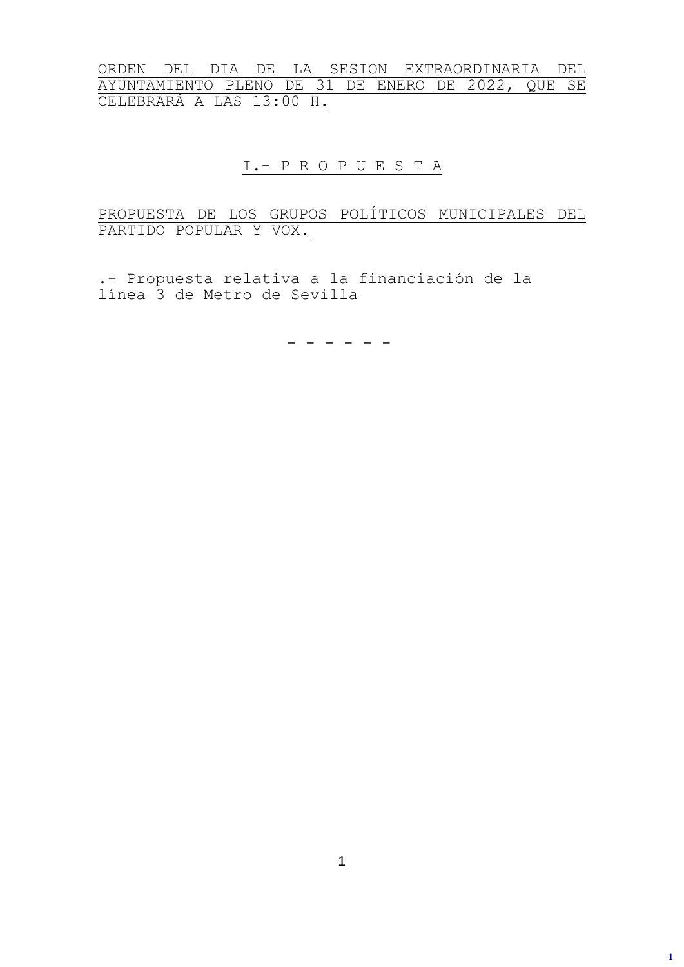ORDEN DEL DIA DE LA SESION EXTRAORDINARIA DEL AYUNTAMIENTO PLENO DE 31 DE ENERO DE 2022, QUE SE CELEBRARÁ A LAS 13:00 H.

### I.- P R O P U E S T A

### PROPUESTA DE LOS GRUPOS POLÍTICOS MUNICIPALES DEL PARTIDO POPULAR Y VOX.

.- Propuesta relativa a la financiación de la línea 3 de Metro de Sevilla

- - - - - -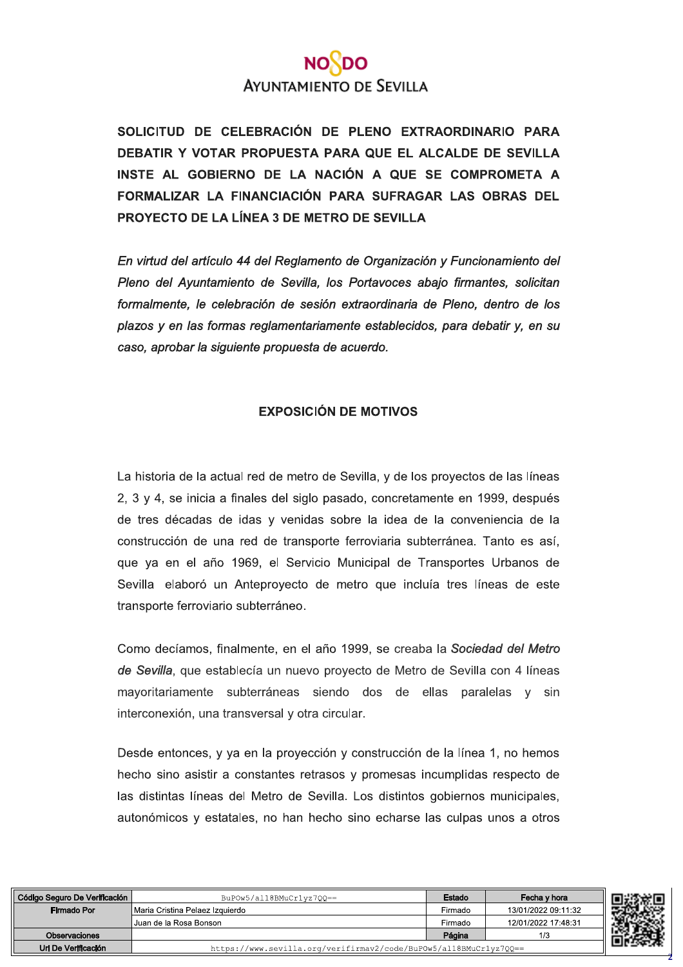# **AYUNTAMIENTO DE SEVILLA**

SOLICITUD DE CELEBRACIÓN DE PLENO EXTRAORDINARIO PARA DEBATIR Y VOTAR PROPUESTA PARA QUE EL ALCALDE DE SEVILLA INSTE AL GOBIERNO DE LA NACIÓN A QUE SE COMPROMETA A FORMALIZAR LA FINANCIACIÓN PARA SUFRAGAR LAS OBRAS DEL PROYECTO DE LA LÍNEA 3 DE METRO DE SEVILLA

En virtud del artículo 44 del Reglamento de Organización y Funcionamiento del Pleno del Ayuntamiento de Sevilla, los Portavoces abajo firmantes, solicitan formalmente, le celebración de sesión extraordinaria de Pleno, dentro de los plazos y en las formas reglamentariamente establecidos, para debatir y, en su caso, aprobar la siguiente propuesta de acuerdo.

#### **EXPOSICIÓN DE MOTIVOS**

La historia de la actual red de metro de Sevilla, y de los proyectos de las líneas 2, 3 y 4, se inicia a finales del siglo pasado, concretamente en 1999, después de tres décadas de idas y venidas sobre la idea de la conveniencia de la construcción de una red de transporte ferroviaria subterránea. Tanto es así, que ya en el año 1969, el Servicio Municipal de Transportes Urbanos de Sevilla elaboró un Anteproyecto de metro que incluía tres líneas de este transporte ferroviario subterráneo.

Como decíamos, finalmente, en el año 1999, se creaba la Sociedad del Metro de Sevilla, que establecía un nuevo proyecto de Metro de Sevilla con 4 líneas mayoritariamente subterráneas siendo dos de ellas paralelas y sin interconexión, una transversal y otra circular.

Desde entonces, y ya en la proyección y construcción de la línea 1, no hemos hecho sino asistir a constantes retrasos y promesas incumplidas respecto de las distintas líneas del Metro de Sevilla. Los distintos gobiernos municipales, autonómicos y estatales, no han hecho sino echarse las culpas unos a otros

| Código Seguro De Verificación | BuPOw5/al18BMuCrlyz700 ==                                          | Estado  | Fecha y hora        |
|-------------------------------|--------------------------------------------------------------------|---------|---------------------|
| Firmado Por                   | l Maria Cristina Pelaez Izquierdo                                  | Firmado | 13/01/2022 09:11:32 |
|                               | Juan de la Rosa Bonson                                             | Firmado | 12/01/2022 17:48:31 |
| Observaciones                 |                                                                    | Página  | 1/3                 |
| Url De Verificación           | https://www.sevilla.org/verifirmav2/code/BuPOw5/al18BMuCr1yz700 == |         |                     |

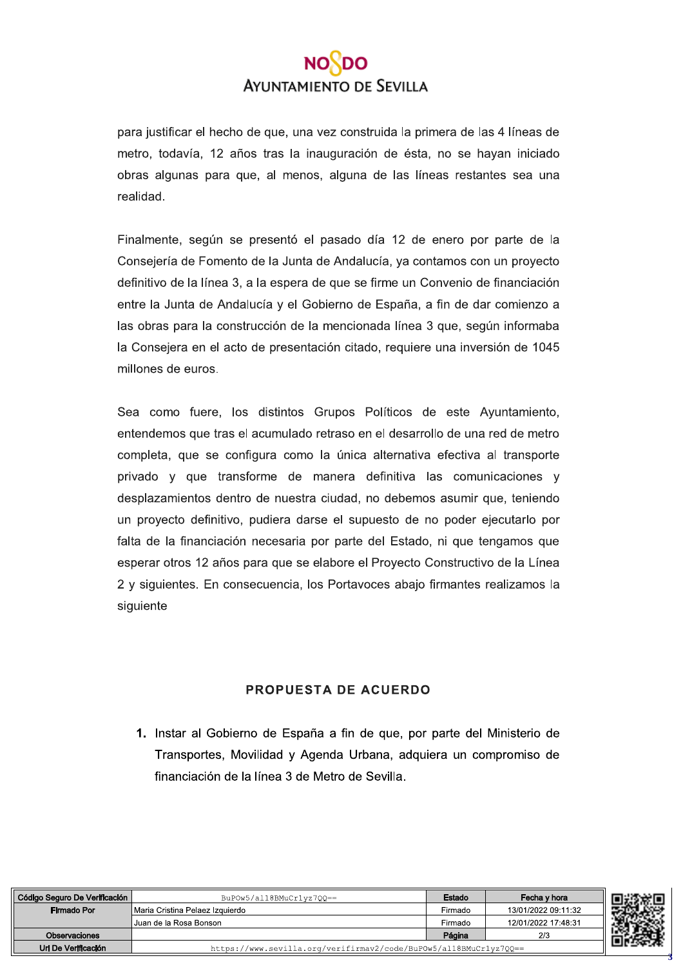# **AYUNTAMIENTO DE SEVILLA**

para justificar el hecho de que, una vez construida la primera de las 4 líneas de metro, todavía, 12 años tras la inauguración de ésta, no se hayan iniciado obras algunas para que, al menos, alguna de las líneas restantes sea una realidad.

Finalmente, según se presentó el pasado día 12 de enero por parte de la Consejería de Fomento de la Junta de Andalucía, ya contamos con un proyecto definitivo de la línea 3, a la espera de que se firme un Convenio de financiación entre la Junta de Andalucía y el Gobierno de España, a fin de dar comienzo a las obras para la construcción de la mencionada línea 3 que, según informaba la Consejera en el acto de presentación citado, requiere una inversión de 1045 millones de euros.

Sea como fuere, los distintos Grupos Políticos de este Avuntamiento, entendemos que tras el acumulado retraso en el desarrollo de una red de metro completa, que se configura como la única alternativa efectiva al transporte privado y que transforme de manera definitiva las comunicaciones y desplazamientos dentro de nuestra ciudad, no debemos asumir que, teniendo un proyecto definitivo, pudiera darse el supuesto de no poder ejecutarlo por falta de la financiación necesaria por parte del Estado, ni que tengamos que esperar otros 12 años para que se elabore el Proyecto Constructivo de la Línea 2 y siguientes. En consecuencia, los Portavoces abajo firmantes realizamos la siguiente

#### **PROPUESTA DE ACUERDO**

1. Instar al Gobierno de España a fin de que, por parte del Ministerio de Transportes, Movilidad y Agenda Urbana, adquiera un compromiso de financiación de la línea 3 de Metro de Sevilla.

| Código Seguro De Verificación | BuPOw5/al18BMuCr1yz700 ==                                          | Estado  | Fecha y hora        |  |
|-------------------------------|--------------------------------------------------------------------|---------|---------------------|--|
| Firmado Por                   | I Maria Cristina Pelaez Izquierdo                                  | Firmado | 13/01/2022 09:11:32 |  |
|                               | Juan de la Rosa Bonson                                             | Firmado | 12/01/2022 17:48:31 |  |
| <b>Observaciones</b>          |                                                                    | Página  | 2/3                 |  |
| Url De Verificación           | https://www.sevilla.org/verifirmav2/code/BuPOw5/al18BMuCr1yz7QQ == |         |                     |  |